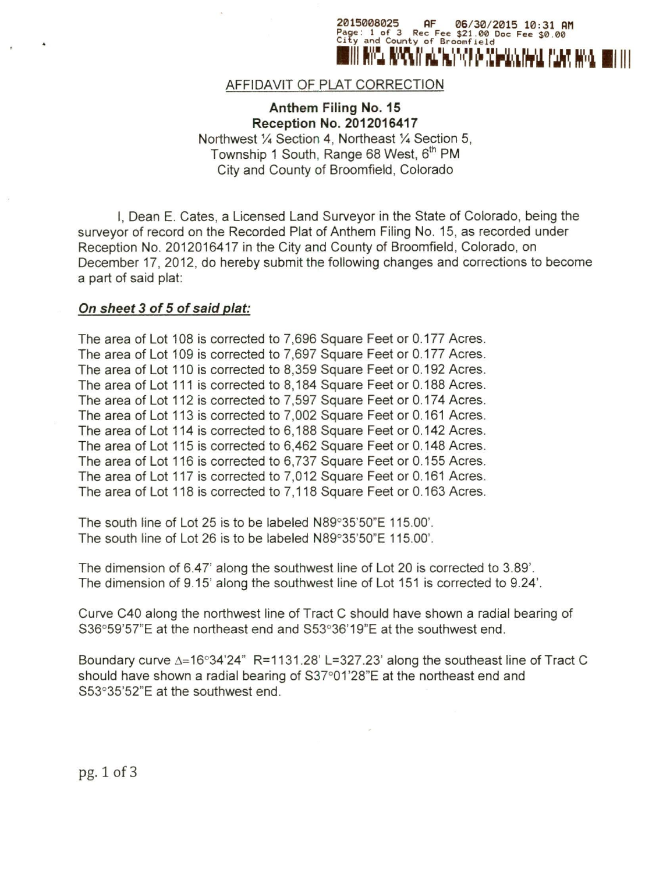

### AFFIDAVIT OF PLAT CORRECTION

Anthem Filing No. 15 Reception No. 2012016417 Northwest 1/4 Section 4, Northeast 1/4 Section 5, Township 1 South, Range 68 West, 6<sup>th</sup> PM City and County of Broomfield, Colorado

I, Dean E. Cates, a Licensed Land Surveyor in the State of Colorado, being the surveyor of record on the Recorded Plat of Anthem Filing No. 15, as recorded under Reception No. 2012016417 in the City and County of Broomfield, Colorado, on December 17, 2012, do hereby submit the following changes and corrections to become a part of said plat:

#### *On sheet* 3 of 5 of *said plat:*

The area of Lot 108 is corrected to 7,696 Square Feet or 0.177 Acres. The area of Lot 109 is corrected to 7,697 Square Feet or 0.177 Acres. The area of Lot 110 is corrected to 8,359 Square Feet or 0.192 Acres. The area of Lot 111 is corrected to 8,184 Square Feet or 0.188 Acres. The area of Lot 112 is corrected to 7,597 Square Feet or 0.174 Acres. The area of Lot 113 is corrected to 7,002 Square Feet or 0.161 Acres. The area of Lot 114 is corrected to 6,188 Square Feet or 0.142 Acres. The area of Lot 115 is corrected to 6,462 Square Feet or 0.148 Acres. The area of Lot 116 is corrected to 6,737 Square Feet or 0.155 Acres. The area of Lot 117 is corrected to 7,012 Square Feet or 0.161 Acres. The area of Lot 118 is corrected to 7,118 Square Feet or 0.163 Acres.

The south line of Lot 25 is to be labeled N89°35'50"E 115.00'. The south line of Lot 26 is to be labeled N89°35'50"E 115.00'.

The dimension of 6.47' along the southwest line of Lot 20 is corrected to 3.89'. The dimension of 9.15' along the southwest line of Lot 151 is corrected to 9.24'.

Curve C40 along the northwest line of Tract C should have shown a radial bearing of S36°59'57"E at the northeast end and S53°36'19"E at the southwest end.

Boundary curve  $\Delta = 16^{\circ}34^{\circ}24$ " R=1131.28' L=327.23' along the southeast line of Tract C should have shown a radial bearing of S37°01'28"E at the northeast end and S53°35'52"E at the southwest end.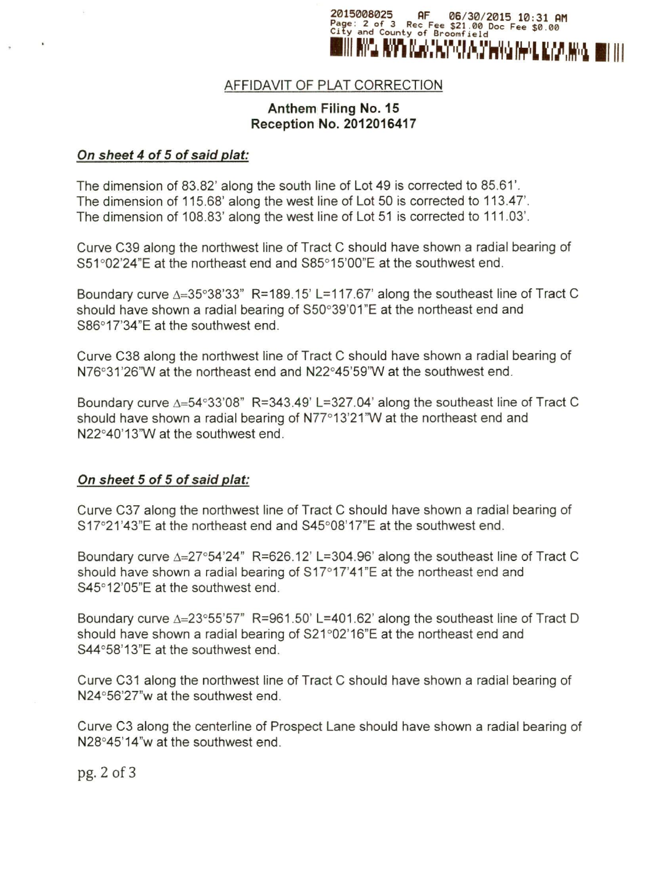

# AFFIDAVIT OF PLAT CORRECTION

## Anthem Filing No. 15 Reception No. 2012016417

#### *On sheet* 4 *of* 5 *of said plat:*

The dimension of 83.82' along the south line of Lot 49 is corrected to 85.61'. The dimension of 115.68' along the west line of Lot 50 is corrected to 113.47'. The dimension of 108.83' along the west line of Lot 51 is corrected to 111.03'.

Curve C39 along the northwest line of Tract C should have shown a radial bearing of S51°02'24"E at the northeast end and S85°15'OO"E at the southwest end.

Boundary curve  $\triangle = 35^{\circ}38'33''$  R=189.15' L=117.67' along the southeast line of Tract C should have shown a radial bearing of S50°39'01"E at the northeast end and S86°17'34"E at the southwest end.

Curve C38 along the northwest line of Tract C should have shown a radial bearing of N76°31 '26'W at the northeast end and N22°45'59'W at the southwest end.

Boundary curve  $\Delta = 54^{\circ}33'08''$  R=343.49' L=327.04' along the southeast line of Tract C should have shown a radial bearing of N77°13'21"W at the northeast end and N22°40'13'W at the southwest end.

### *On sheet* 5 *of* 5 *of said plat:*

Curve C37 along the northwest line of Tract C should have shown a radial bearing of S17°21'43"E at the northeast end and S45°08'17"E at the southwest end.

Boundary curve  $\Delta = 27^{\circ}54'24''$  R=626.12' L=304.96' along the southeast line of Tract C should have shown a radial bearing of S17°17'41"E at the northeast end and S45°12'05"E at the southwest end.

Boundary curve  $\Delta = 23^{\circ}55'57''$  R=961.50' L=401.62' along the southeast line of Tract D should have shown a radial bearing of S21°02'16"E at the northeast end and S44°58'13"E at the southwest end.

Curve C31 along the northwest line of Tract C should have shown a radial bearing of N24°56'27"w at the southwest end.

Curve C3 along the centerline of Prospect Lane should have shown a radial bearing of N28°45'14"w at the southwest end.

pg.2of3